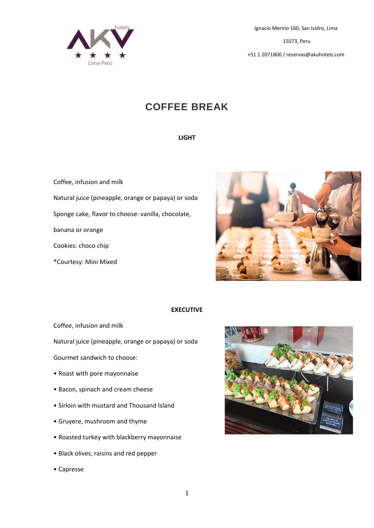

15073, Peru

+51 1 2071800 / reservas@akuhotels.com

# **COFFEE BREAK**

#### **LIGHT**

Coffee, infusion and milk Natural juice (pineapple, orange or papaya) or soda Sponge cake, flavor to choose: vanilla, chocolate, banana or orange Cookies: choco chip \*Courtesy: Mini Mixed



# **EXECUTIVE**

Coffee, infusion and milk

Natural juice (pineapple, orange or papaya) or soda

Gourmet sandwich to choose:

- Roast with pore mayonnaise
- Bacon, spinach and cream cheese
- Sirloin with mustard and Thousand lsland
- Gruyere, mushroom and thyme
- Roasted turkey with blackberry mayonnaise
- Black olives, raisins and red pepper
- Capresse

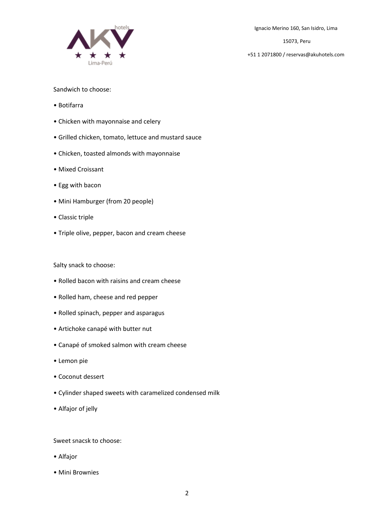

15073, Peru

+51 1 2071800 / reservas@akuhotels.com

## Sandwich to choose:

- Botifarra
- Chicken with mayonnaise and celery
- Grilled chicken, tomato, lettuce and mustard sauce
- Chicken, toasted almonds with mayonnaise
- Mixed Croissant
- Egg with bacon
- Mini Hamburger (from 20 people)
- Classic triple
- Triple olive, pepper, bacon and cream cheese

#### Salty snack to choose:

- Rolled bacon with raisins and cream cheese
- Rolled ham, cheese and red pepper
- Rolled spinach, pepper and asparagus
- Artichoke canapé with butter nut
- Canapé of smoked salmon with cream cheese
- Lemon pie
- Coconut dessert
- Cylinder shaped sweets with caramelized condensed milk
- Alfajor of jelly

Sweet snacsk to choose:

- Alfajor
- Mini Brownies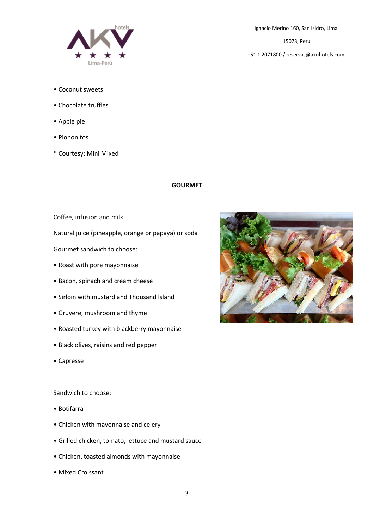

15073, Peru

+51 1 2071800 / reservas@akuhotels.com

- Coconut sweets
- Chocolate truffles
- Apple pie
- Piononitos
- \* Courtesy: Mini Mixed

# **GOURMET**

Coffee, infusion and milk

Natural juice (pineapple, orange or papaya) or soda

Gourmet sandwich to choose:

- Roast with pore mayonnaise
- Bacon, spinach and cream cheese
- Sirloin with mustard and Thousand lsland
- Gruyere, mushroom and thyme
- Roasted turkey with blackberry mayonnaise
- Black olives, raisins and red pepper
- Capresse

Sandwich to choose:

- Botifarra
- Chicken with mayonnaise and celery
- Grilled chicken, tomato, lettuce and mustard sauce
- Chicken, toasted almonds with mayonnaise
- Mixed Croissant

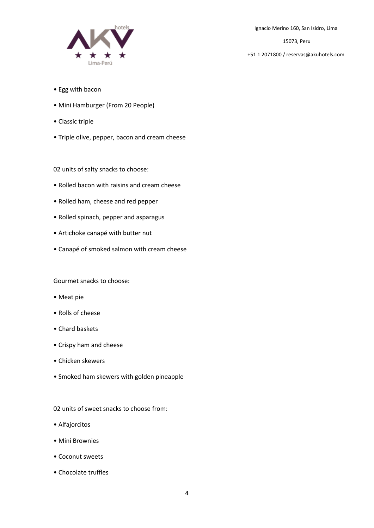

15073, Peru

+51 1 2071800 / reservas@akuhotels.com

- Egg with bacon
- Mini Hamburger (From 20 People)
- Classic triple
- Triple olive, pepper, bacon and cream cheese

02 units of salty snacks to choose:

- Rolled bacon with raisins and cream cheese
- Rolled ham, cheese and red pepper
- Rolled spinach, pepper and asparagus
- Artichoke canapé with butter nut
- Canapé of smoked salmon with cream cheese

Gourmet snacks to choose:

- Meat pie
- Rolls of cheese
- Chard baskets
- Crispy ham and cheese
- Chicken skewers
- Smoked ham skewers with golden pineapple

02 units of sweet snacks to choose from:

- Alfajorcitos
- Mini Brownies
- Coconut sweets
- Chocolate truffles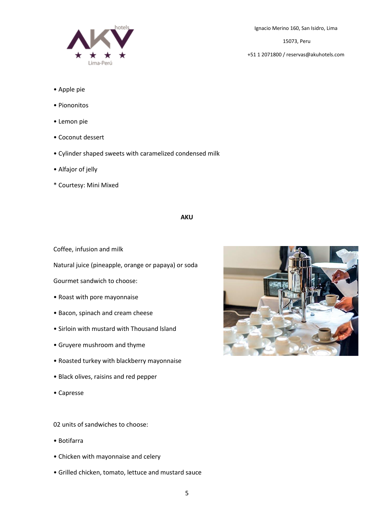

- Apple pie
- Piononitos
- Lemon pie
- Coconut dessert
- Cylinder shaped sweets with caramelized condensed milk
- Alfajor of jelly
- \* Courtesy: Mini Mixed

## **AKU**

Coffee, infusion and milk

Natural juice (pineapple, orange or papaya) or soda

Gourmet sandwich to choose:

- Roast with pore mayonnaise
- Bacon, spinach and cream cheese
- Sirloin with mustard with Thousand lsland
- Gruyere mushroom and thyme
- Roasted turkey with blackberry mayonnaise
- Black olives, raisins and red pepper
- Capresse

02 units of sandwiches to choose:

- Botifarra
- Chicken with mayonnaise and celery
- Grilled chicken, tomato, lettuce and mustard sauce

15073, Peru

+51 1 2071800 / reservas@akuhotels.com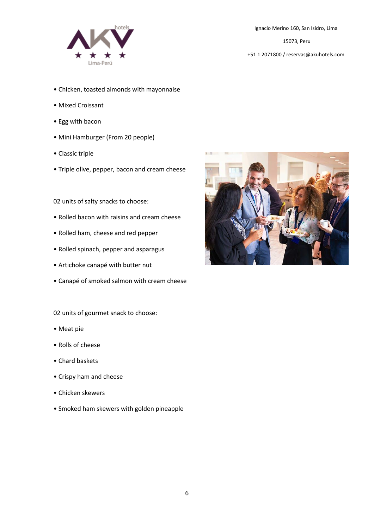

15073, Peru

+51 1 2071800 / reservas@akuhotels.com

- Chicken, toasted almonds with mayonnaise
- Mixed Croissant
- Egg with bacon
- Mini Hamburger (From 20 people)
- Classic triple
- Triple olive, pepper, bacon and cream cheese

02 units of salty snacks to choose:

- Rolled bacon with raisins and cream cheese
- Rolled ham, cheese and red pepper
- Rolled spinach, pepper and asparagus
- Artichoke canapé with butter nut
- Canapé of smoked salmon with cream cheese

02 units of gourmet snack to choose:

- Meat pie
- Rolls of cheese
- Chard baskets
- Crispy ham and cheese
- Chicken skewers
- Smoked ham skewers with golden pineapple